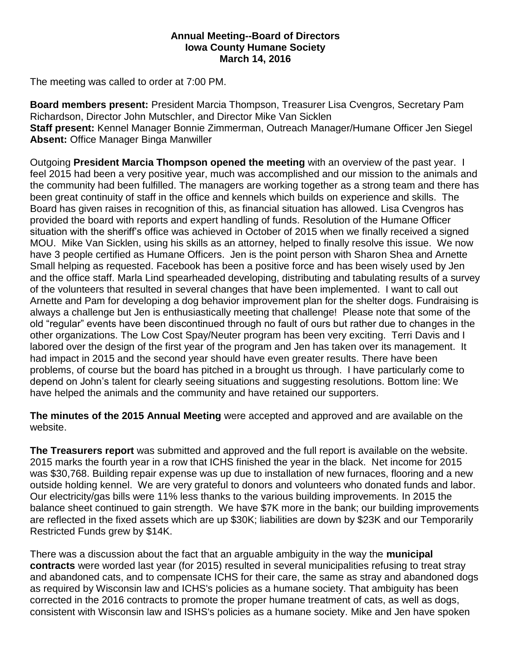## **Annual Meeting--Board of Directors Iowa County Humane Society March 14, 2016**

The meeting was called to order at 7:00 PM.

**Board members present:** President Marcia Thompson, Treasurer Lisa Cvengros, Secretary Pam Richardson, Director John Mutschler, and Director Mike Van Sicklen **Staff present:** Kennel Manager Bonnie Zimmerman, Outreach Manager/Humane Officer Jen Siegel **Absent:** Office Manager Binga Manwiller

Outgoing **President Marcia Thompson opened the meeting** with an overview of the past year. I feel 2015 had been a very positive year, much was accomplished and our mission to the animals and the community had been fulfilled. The managers are working together as a strong team and there has been great continuity of staff in the office and kennels which builds on experience and skills. The Board has given raises in recognition of this, as financial situation has allowed. Lisa Cvengros has provided the board with reports and expert handling of funds. Resolution of the Humane Officer situation with the sheriff's office was achieved in October of 2015 when we finally received a signed MOU. Mike Van Sicklen, using his skills as an attorney, helped to finally resolve this issue. We now have 3 people certified as Humane Officers. Jen is the point person with Sharon Shea and Arnette Small helping as requested. Facebook has been a positive force and has been wisely used by Jen and the office staff. Marla Lind spearheaded developing, distributing and tabulating results of a survey of the volunteers that resulted in several changes that have been implemented. I want to call out Arnette and Pam for developing a dog behavior improvement plan for the shelter dogs. Fundraising is always a challenge but Jen is enthusiastically meeting that challenge! Please note that some of the old "regular" events have been discontinued through no fault of ours but rather due to changes in the other organizations. The Low Cost Spay/Neuter program has been very exciting. Terri Davis and I labored over the design of the first year of the program and Jen has taken over its management. It had impact in 2015 and the second year should have even greater results. There have been problems, of course but the board has pitched in a brought us through. I have particularly come to depend on John's talent for clearly seeing situations and suggesting resolutions. Bottom line: We have helped the animals and the community and have retained our supporters.

**The minutes of the 2015 Annual Meeting** were accepted and approved and are available on the website.

**The Treasurers report** was submitted and approved and the full report is available on the website. 2015 marks the fourth year in a row that ICHS finished the year in the black. Net income for 2015 was \$30,768. Building repair expense was up due to installation of new furnaces, flooring and a new outside holding kennel. We are very grateful to donors and volunteers who donated funds and labor. Our electricity/gas bills were 11% less thanks to the various building improvements. In 2015 the balance sheet continued to gain strength. We have \$7K more in the bank; our building improvements are reflected in the fixed assets which are up \$30K; liabilities are down by \$23K and our Temporarily Restricted Funds grew by \$14K.

There was a discussion about the fact that an arguable ambiguity in the way the **municipal contracts** were worded last year (for 2015) resulted in several municipalities refusing to treat stray and abandoned cats, and to compensate ICHS for their care, the same as stray and abandoned dogs as required by Wisconsin law and ICHS's policies as a humane society. That ambiguity has been corrected in the 2016 contracts to promote the proper humane treatment of cats, as well as dogs, consistent with Wisconsin law and ISHS's policies as a humane society. Mike and Jen have spoken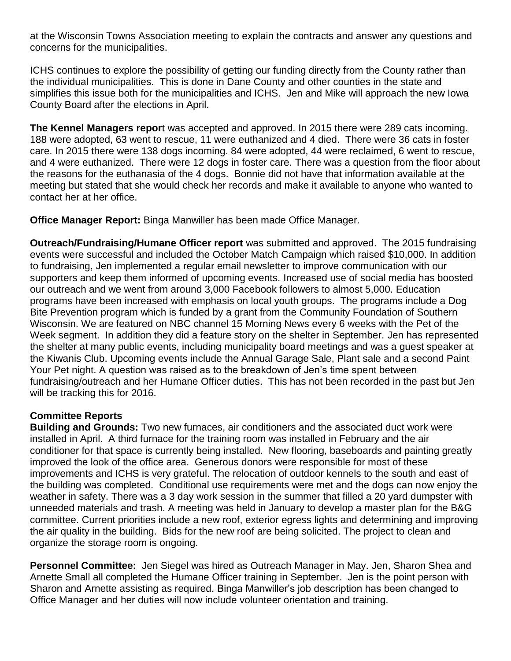at the Wisconsin Towns Association meeting to explain the contracts and answer any questions and concerns for the municipalities.

ICHS continues to explore the possibility of getting our funding directly from the County rather than the individual municipalities. This is done in Dane County and other counties in the state and simplifies this issue both for the municipalities and ICHS. Jen and Mike will approach the new Iowa County Board after the elections in April.

**The Kennel Managers repor**t was accepted and approved. In 2015 there were 289 cats incoming. 188 were adopted, 63 went to rescue, 11 were euthanized and 4 died. There were 36 cats in foster care. In 2015 there were 138 dogs incoming. 84 were adopted, 44 were reclaimed, 6 went to rescue, and 4 were euthanized. There were 12 dogs in foster care. There was a question from the floor about the reasons for the euthanasia of the 4 dogs. Bonnie did not have that information available at the meeting but stated that she would check her records and make it available to anyone who wanted to contact her at her office.

**Office Manager Report:** Binga Manwiller has been made Office Manager.

**Outreach/Fundraising/Humane Officer report** was submitted and approved. The 2015 fundraising events were successful and included the October Match Campaign which raised \$10,000. In addition to fundraising, Jen implemented a regular email newsletter to improve communication with our supporters and keep them informed of upcoming events. Increased use of social media has boosted our outreach and we went from around 3,000 Facebook followers to almost 5,000. Education programs have been increased with emphasis on local youth groups. The programs include a Dog Bite Prevention program which is funded by a grant from the Community Foundation of Southern Wisconsin. We are featured on NBC channel 15 Morning News every 6 weeks with the Pet of the Week segment. In addition they did a feature story on the shelter in September. Jen has represented the shelter at many public events, including municipality board meetings and was a guest speaker at the Kiwanis Club. Upcoming events include the Annual Garage Sale, Plant sale and a second Paint Your Pet night. A question was raised as to the breakdown of Jen's time spent between fundraising/outreach and her Humane Officer duties. This has not been recorded in the past but Jen will be tracking this for 2016.

## **Committee Reports**

**Building and Grounds:** Two new furnaces, air conditioners and the associated duct work were installed in April. A third furnace for the training room was installed in February and the air conditioner for that space is currently being installed. New flooring, baseboards and painting greatly improved the look of the office area. Generous donors were responsible for most of these improvements and ICHS is very grateful. The relocation of outdoor kennels to the south and east of the building was completed. Conditional use requirements were met and the dogs can now enjoy the weather in safety. There was a 3 day work session in the summer that filled a 20 yard dumpster with unneeded materials and trash. A meeting was held in January to develop a master plan for the B&G committee. Current priorities include a new roof, exterior egress lights and determining and improving the air quality in the building. Bids for the new roof are being solicited. The project to clean and organize the storage room is ongoing.

**Personnel Committee:** Jen Siegel was hired as Outreach Manager in May. Jen, Sharon Shea and Arnette Small all completed the Humane Officer training in September. Jen is the point person with Sharon and Arnette assisting as required. Binga Manwiller's job description has been changed to Office Manager and her duties will now include volunteer orientation and training.